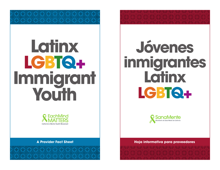# **Latinx LGBTQ+ Immigrant Youth**



**Jóvenes inmigrantes Latinx LGBTQ+**



**A Provider Fact Sheet Construction Construction Construction Construction Construction Construction Constructio**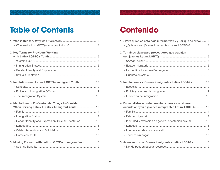## **Table of Contents Contenido**

| 2. Key Terms for Providers Working                      |  |
|---------------------------------------------------------|--|
|                                                         |  |
|                                                         |  |
|                                                         |  |
|                                                         |  |
|                                                         |  |
| 3. Institutions and Latinx LGBTQ+ Immigrant Youth  10   |  |
|                                                         |  |
|                                                         |  |
|                                                         |  |
| 4. Mental Health Professionals: Things to Consider      |  |
| When Serving Latinx LGBTQ+ Immigrant Youth  13          |  |
|                                                         |  |
|                                                         |  |
| • Gender Identity and Expression, Sexual Orientation 15 |  |
| $\bullet$                                               |  |
|                                                         |  |
|                                                         |  |
|                                                         |  |
| 5. Moving Forward with Latinx LGBTQ+ Immigrant Youth 18 |  |
|                                                         |  |

| 1. ¿Para quién es esta hoja informativa? y ¿Por qué se creó?  3 |
|-----------------------------------------------------------------|
| · ¿Quienes son jóvenes inmigrantes Latinx LGBTQ+?  4            |
| 2. Términos clave para proveedores que trabajan                 |
|                                                                 |
|                                                                 |
|                                                                 |
|                                                                 |
|                                                                 |
| 3. Instituciones y jóvenes inmigrantes Latinx LGBTQ+  10        |
|                                                                 |
|                                                                 |
|                                                                 |
| 4. Especialistas en salud mental: cosas a considerar            |
| cuando apoyen a jóvenes inmigrantes Latinx LGBTQ+ 13            |
|                                                                 |
|                                                                 |
| · Identidad y expresión de género, orientación sexual 15        |
|                                                                 |
|                                                                 |
|                                                                 |
| 5. Avanzando con jóvenes inmigrantes Latinx LGBTQ+  18          |
|                                                                 |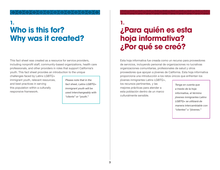## <span id="page-2-0"></span>**Who is this for? Why was it created? 1. 1.**

This fact sheet was created as a resource for service providers, including nonprofit staff, community-based organizations, health care professionals, and other providers in roles that support California's youth. This fact sheet provides an introduction to the unique

challenges faced by Latinx LGBTQ+ immigrant youth, relevant resources, and best practices in serving this population within a culturally responsive framework.

*Please note that in the fact sheet, Latinx LGBTQ+ immigrant youth will be used interchangeably with "clients" or "youth."*

**¿Para quién es esta hoja informativa?** 

**¿Por qué se creó?**

Esta hoja informativa fue creada como un recurso para proveedores de servicios, incluyendo personal de organizaciones no lucrativas organizaciones comunitarias, profesionales de salud y otros proveedores que apoyan a jóvenes de California. Esta hoja informativa proporciona una introducción a los retos únicos que enfrentan los

jóvenes inmigrantes Latinx LGBTQ+, los recursos pertinentes, y las mejores prácticas para atender a esta población dentro de un marco culturalmente sensible.

*Tenga en cuenta que a través de la hoja informativa, el término jóvenes inmigrantes Latinx LGBTQ+ se utilizará de manera intercambiable con "clientes" o "jóvenes."*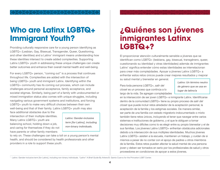## <span id="page-3-0"></span>**Who are Latinx LGBTQ+ Immigrant Youth?**

Providing culturally responsive care for a young person identifying as LGBTQ+ (Lesbian, Gay, Bisexual, Transgender, Queer, Questioning, and other identities) and a Latinx<sup>1</sup> immigrant means understanding how these identities intersect to create added complexities. Supporting Latinx LGBTQ+ youth in addressing these unique challenges can create better outcomes and enhance their overall mental health and well-being.

For every LGBTQ+ person, "coming out" is a process that continues throughout life. Complexities are added with the intersection of being LGBTQ+ youth and immigrant Latinx. Identifying within the LGBTQ+ community has its coming out process, which can include challenges around personal acceptance, family acceptance, and societal stigmas. Similarly, being part of a family with undocumented or mixed immigration status also comes with unique struggles, including navigating various government systems and institutions, and forcing LGBTQ+ youth to make very difficult choices between their own well-being and that of their family. Latinx LGBTQ+ youth may also

face additional obstacles due to the intersection of their multiple identities. Many Latinx LGBTQ+ youth are balancing school, holding down a job, and caring for themselves if they do not have parents or other family members

*Latinx: Gender-inclusive term [for Latino], including non-binary individuals.*

to rely on. These challenges can take a toll on a young person's mental health, and should be considered by health professionals and other providers in a role to support these youth.

## **¿Quiénes son jóvenes inmigrantes Latinx LGBTQ+?**

El proporcionar atención culturalmente sensible a jóvenes que se identifican como LGBTQ+ (lesbiana, gay, bisexual, transgénero, queer, cuestionando su identidad y otras identidades) además de inmigrantes Latinx<sup>1</sup> significa entender cómo estas identidades se interrelacionan para crear más complejidades. Apoyar a jóvenes Latinx LGBTQ+ a enfrentar estos retos únicos puede crear mejores resultados y mejorar

su salud mental y bienestar en general.

Para toda persona LGBTQ+, *salir del closet* es un proceso que continúa a lo largo de la vida. Se agregan complejidades *Latinx: Un término neutro de género que se usa en lugar de latino/a*

en la intersección de ser joven LGBTQ+ e inmigrante Latinx. Identificarse dentro de la comunidad LGBTQ+ tiene su propio proceso de *salir del closet* que puede incluir retos alrededor de la aceptación personal, la aceptación de la familia y los estigmas sociales. De manera similar, ser parte de una familia con estado migratorio indocumentado o mixto también tiene retos únicos, incluyendo el tener que navegar entre varios sistemas e instituciones de gobierno, y el que le obliguen a tomar decisiones muy difíciles como lo es elegir entre su propio bienestar y el de sus familias. Los jóvenes Latinx LGBTQ+ enfrentan obstáculos adicionales debido a la intersección de sus múltiples identidades. Muchos jóvenes Latinx LGBTQ+ asisten a la escuela, mantienen un trabajo, y cuidan de si mismos a pesar de no contar con el apoyo de padres u otros miembros de la familia. Estos retos pueden afectar la salud mental de una persona joven y deben ser tomados en serio por los profesionales de salud y otros proveedores en condiciones de apoyar a estos jóvenes.

<sup>1</sup> Latinx: Gender-inclusive term [for Latino], including non-binary individuals. *"Latinx" A Brief Guide* By Arlene B. Gamio Cuervo for the Princeton LGBT Center.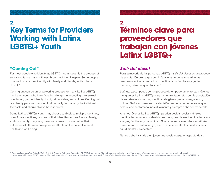## <span id="page-4-0"></span>**2. 2. Key Terms for Providers Working with Latinx LGBTQ+ Youth**

#### **"Coming Out"**

For most people who identify as LGBTQ+, coming out is the process of self-acceptance that continues throughout their lifespan. Some people choose to share their identity with family and friends, while others do not.<sup>2</sup>

Coming out can be an empowering process for many Latinx LGBTQ+ immigrant youth who have faced challenges in accepting their sexual orientation, gender identity, immigration status, and culture. Coming out is a deeply personal decision that can only be made by the individual themself, and should always be respected.

Some Latinx LGBTQ+ youth may choose to disclose multiple identities, one of their identities, or none of their identities to their friends, family, and community. If a young person chooses to come out as their authentic self, this can have positive effects on their overall mental health and well-being.<sup>3</sup>

**Términos clave para** 

**proveedores que trabajan con jóvenes Latinx LGBTQ+** 

#### *Salir del closet*

Para la mayoría de las personas LGBTQ+, *salir del closet* es un proceso de aceptación propia que continúa a lo largo de la vida. Algunas personas deciden compartir su identidad con familiares y gente cercana, mientras que otras no.2

*Salir del closet* puede ser un proceso de empoderamiento para jóvenes inmigrantes Latinx LGBTQ+ que han enfrentado retos con la aceptación de su orientación sexual, identidad de género, estatus migratorio y cultura. *Salir del closet* es una decisión profundamente personal que sólo puede ser tomada individualmente y siempre debe ser respetada.

Algunos jóvenes Latinx LGBTQ+ pueden decidir revelar múltiples identidades, una de sus identidades o ninguna de sus identidades a sus amigos, familiares y comunidad. Si una persona joven decide *salir del closet* como su auténtico yo, esto puede tener efectos positivos en su salud mental y bienestar.<sup>3</sup>

Nunca debe insistirle a un joven que revele cualquier aspecto de su

<sup>2</sup> Guía de Recursos Para Salir Del Clóset. (2013, August). Retrieved December 24, 2016, from Human Rights Campaign website: <https://www.hrc.org/resources/guia-de-recursos-para-salir-del-closet> <sup>3</sup> Universite de Montreal. (2013, January 29). Health benefits of coming out of the closet demonstrated. ScienceDaily. Retrieved January 24, 2017 from [www.sciencedaily.com/releases/2013/01/130129074427.htm](https://www.sciencedaily.com/releases/2013/01/130129074427.htm)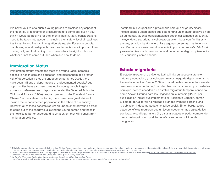<span id="page-5-0"></span>It is never your role to push a young person to disclose any aspect of their identity, or to shame or pressure them to come out, even if you think it would be positive for their mental health. Many considerations need to be taken into account, including their safety, level of readiness, ties to family and friends, immigration status, etc. For some people, maintaining a relationship with their loved ones is more important than coming out, and that is okay. Each person has the right to choose whether or not to come out, and when and how to do so.

#### **Immigration Status**

Immigration status<sup>4</sup> affects the state of a young Latinx person's access to health care and education, and places them at a greater risk of deportation if they are undocumented. Since 2008, there have been millions of deportations of undocumented people,<sup>5</sup> but opportunities have also been created for young people to gain access to deferment from deportation under the Deferred Action for Childhood Arrivals (DACA) program passed under President Barack Obama.<sup>6</sup> In the state of California, there have been great strides to include the undocumented population in the fabric of our society. However, all of these benefits require an undocumented young person to come out of the shadows, allowing the young person and those in their circles to better understand to what extent they will benefit from immigration policies.

identidad, ni avergonzarle o presionarle para que *salga del closet*, incluso cuando usted piense que esto tendría un impacto positivo en su salud mental. Muchas consideraciones deben ser tomadas en cuenta, incluyendo su seguridad, nivel de preparación, lazos con familiares y amigos, estado migratorio, etc. Para algunas personas, mantener una relación con sus seres queridos es más importante que *salir del closet* y eso está bien. Cada persona tiene el derecho de elegir si quiere salir o no, y cuándo y cómo hacerlo.

#### **Estado migratorio**

El estado migratorio<sup>4</sup> de jóvenes Latinx limita su acceso a atención médica y educación, y los coloca en mayor riesgo de deportación si no tienen documentos. Desde 2008 han habido miles de deportaciones de personas indocumentadas,<sup>5</sup> pero también se han creado oportunidades para que jóvenes accedan a un estatus migratorio temporal conocido como Acción Diferida para los Llegados en la Infancia (DACA, por sus siglas en inglés) que implementó el Presidente Barack Obama.<sup>6</sup> El estado de California ha realizado grandes avances para incluir a la población indocumentada en el tejido social. Sin embargo, todos estos beneficios requieren que un joven indocumentado salga de las sombras, lo cual le permite a él y a sus allegados el poder comprender mejor hasta qué punto podrán beneficiarse de las políticas de inmigración.

<sup>4</sup> This is for people who live permanently in the United States. Synonymous terms for immigrant status are: permanent resident, immigrant, green card holder, and resident alien. Gaining immigrant status can be a lengthy and complex process that requires close consultation with an immigration attorney. [http://internationaloffice.berkeley.edu/nonimmigrant\\_vs\\_immigrant](https://internationaloffice.berkeley.edu/nonimmigrant-vs-immigrant-status)

<sup>&</sup>lt;sup>5</sup> Undocumented and Uninsured Part 3: POL[ICE] IN MY HEAD A Five-Part Report on Immigrant Youth and the Struggle to Access Health Care in California [http://undocumentedanduninsured.org/wp-content/](http://undocumentedanduninsured.org/wp-content/uploads/2015/04/Undocumented-and-Uninsured-Part-3-polICE-in-my-head.pdf) [uploads/2015/04/Undocumented-and-Uninsured-Part-3-polICE-in-my-head.pdf](http://undocumentedanduninsured.org/wp-content/uploads/2015/04/Undocumented-and-Uninsured-Part-3-polICE-in-my-head.pdf)

<sup>6</sup> *Up to 1.7 Million Unauthorized Immigrant Youth May Benefit from New Deportation Rules* [http://www.pewhispanic.org/2012/08/14/up-to-1-7-million-unauthorized-immigrant-youth-may-benefit-from-new-deportation-rules/](http://www.pewhispanic.org/2012/08/14/up-to-1-7-million-unauthorized-immigrant-youth-may-benefit-fro)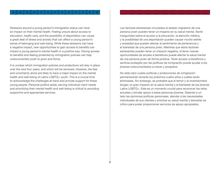Stressors around a young person's immigration status can have an impact on their mental health. Feeling unsure about access to education, health care, and the possibility of deportation can cause a great deal of stress and anxiety that can affect a young person's sense of belonging and well-being. While these stressors can have a negative impact, new opportunities to gain access to benefits can impact a young person's mental health in a positive way. Having access to benefits and feeling protected by immigration policies can help undocumented youth to grow and thrive.

It is unclear which immigration policies and protections will stay in place over the next four years, and which will be removed. However, the fear and uncertainty alone are likely to have a major impact on the mental health and well-being of Latinx LGBTQ+ youth. This is a crucial time to acknowledge the challenges at hand and provide support for these young people. Personal politics aside, serving individual client needs and prioritizing their mental health and well-being is critical to providing supportive and appropriate services.

Los factores estresantes vinculados al estado migratorio de una persona joven pueden tener un impacto en su salud mental. Sentir inseguridad sobre el acceso a la educación, la atención médica, y la posibilidad de una deportación pueden causar mucho estrés y ansiedad que pueden afectar el sentimiento de pertenencia y el bienestar de una persona joven. Mientras que estos factores estresantes pueden tener un impacto negativo, el tener nuevas oportunidades de acceso a beneficios puede afectar la salud mental de una persona joven de forma positiva. Tener acceso a beneficios y sentirse protegido por las políticas de inmigración puede ayudar a los jóvenes indocumentados a crecer y prosperar.

No está claro cuales políticas y protecciones de inmigración permanecerán durante los próximos cuatro años y cuáles serán eliminadas. Sin embargo, es probable que el temor y la incertidumbre tengan un gran impacto en la salud mental y el bienestar de los jóvenes Latinx LGBTQ+. Este es un momento crucial para reconocer los retos actuales y brindar apoyo a estas personas jóvenes. Dejando a un lado las opiniones políticas personales, atender a las necesidades individuales de sus clientes y priorizar su salud mental y bienestar es crítico para poder proporcionar servicios de apoyo apropiados.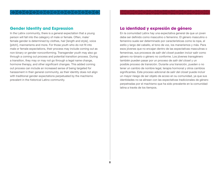#### <span id="page-7-0"></span>**Gender Identity and Expression**

In the Latinx community, there is a general expectation that a young person will fall into the category of male or female. Often, male/ female gender is determined by clothes, hair [length and style], voice [pitch], mannerisms and more. For those youth who do not fit into male or female expectations, their process may include coming out as non-binary or gender nonconforming. Transgender youth may also go through a coming out process and potential transition process. During a transition, they may or may not go through a legal name change, hormone therapy, and other significant changes. This added coming out process can include an increased sense of being targeted for harassment in their general community, as their identity does not align with traditional gender expectations perpetuated by the machismo prevalent in the historical Latino community.

#### **La identidad y expresión de género**

En la comunidad Latinx hay una expectativa general de que un joven debe ser definido como masculino o femenino. El género masculino o femenino suele ser determinado por características como la ropa, el estilo y largo del cabello, el tono de voz, los manerismos y más. Para esos jóvenes que no encajan dentro de las expectativas masculinas o femeninas, sus procesos de *salir del closet* pueden incluir salir como género no-binario o género no conforme. Los jóvenes transgénero también pueden pasar por un proceso de *salir del closet* y un posible proceso de transición. Durante una transición, pueden o no tener un cambio de nombre legal, terapia hormonal y otros cambios significantes. Este proceso adicional de *salir del closet* puede incluir un mayor riesgo de ser objeto de acoso en su comunidad, ya que sus identidades no se alinean con las expectativas tradicionales de género perpetradas por el machismo que ha sido prevalente en la comunidad latina a través de los tiempos.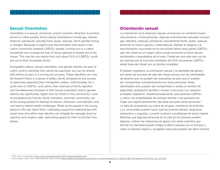#### <span id="page-8-0"></span>**Sexual Orientation**

Orientation is a sexual, emotional, and/or romantic attraction to another person or other people. Some sexual orientations include gay, lesbian, bisexual, pansexual, sexually-fluid, queer, asexual, same-gender-loving, or straight. Because of stigma and discrimination that exists in the Latino community towards LGBTQ+ people, coming out in a Latinx household can increase the fear of being rejected or kicked out of the house. This may be one reason that only about 53% of LGBTQ+ youth are out to their immediate family.<sup>7</sup>

Immigration status, sexual orientation, and gender identity are part of Latinx youth's identities that cannot be assumed, but can be shared with others as part of a coming out process. These identities can only be shared if there is a sense of safety, family acceptance and access to resources regarding their immigration status. Unfortunately, for a youth who is LGBTQ+ and Latinx, their chances of family rejection and homelessness because of their sexual orientation and/or gender identity are significantly higher than for others in the community.<sup>8</sup> Lack of acceptance by friends, family members, and their community can prime young people for feelings of shame, ostracism, and distress, and can lead to mental health challenges. While some people in the young person's life may reject them, cultivating supportive relationships with loved ones who affirm their identity can mitigate the damage done by rejection and create a safe, welcoming space for them to be their true selves.

#### **Orientación sexual**

La orientación es la atracción sexual, emocional y/o romántica hacia otra persona u otras personas. Algunas orientaciones sexuales incluyen gay, lesbiana, bisexual, pansexual, sexualmente fluido, queer, asexual, atracción al mismo género o heterosexual. Debido al estigma y la discriminación que existe en la comunidad latina hacia gente LGBTQ+, *salir del closet* en un hogar Latinx puede aumentar el temor de ser rechazados o expulsados de la casa. Puede ser que esta sea una de las razones por la cual sólo alrededor del 53% de jóvenes LGBTQ+ están fuera del closet con su familia inmediata.<sup>7</sup>

El estado migratorio, la orientación sexual y la identidad de género son parte del proceso de *salir del closet* porque son las identidades de jóvenes que no pueden ser supuestas as pero que sí pueden ser compartidas voluntariamente con otras personas. Estas identidades solo pueden ser compartidas si existe un sentido de seguridad, aceptación familiar y acceso a recursos con respecto al estado migratorio. Desafortunadamente, para jóvenes LGBTQ+ y Latinx, las posibilidades de rechazo familiar y de quedarse sin hogar son significativamente más altas que para otras personas.<sup>8</sup> La falta de aceptación por parte de amigos, miembros de la familia y su comunidad pueden hacer que los jóvenes sientan vergüenza, ostracismo y angustia, y puede conducir a problemas de salud mental. Mientras que algunas personas en la vida de los jóvenes pueden alejarse, cultivar las relaciones de apoyo con seres queridos que afirman su identidad puede mitigar el daño causado por el rechazo y crear un espacio seguro y acogedor para que puedan ser ellos mismos.

<sup>7</sup> HRC Latino Youth Report <http://lulac.org/assets/pdfs/LGBT-LatinoYouthReport.pdf>

8 Durso Gates LGBT Youth Homelessness Youth Survey <https://williamsinstitute.law.ucla.edu/wp-content/uploads/Durso-Gates-LGBT-Homeless-Youth-Survey-July-2012.pdf>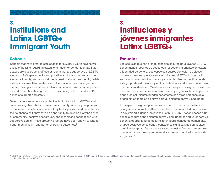## <span id="page-9-0"></span>**3. 3. Institutions and Latinx LGBTQ+ Immigrant Youth**

#### **Schools**

Schools that have created safe spaces for LGBTQ+ youth have fewer cases of bullying regarding sexual orientation or gender identity. Safe spaces are classrooms, offices or rooms that are supportive of LGBTQ+ students. Safe spaces include supportive adults who understand the student's identity, and whom students trust to share their identity. While safe spaces are often created around sexual orientation and gender identity, having space where students can connect with another person around their ethnic background also plays a key role in the student's sense of support and safety.

Safe spaces can serve as a protective factor for Latinx LGBTQ+ youth by increasing their ability to overcome adversity. When a young person has access to a safe space where they feel supported and accepted as their authentic self, they have an opportunity to develop a strong sense of community, positive peer groups, and meaningful connections with supportive adults. These protective factors have been shown to lead to better mental health and better overall life outcomes.<sup>9</sup>

# **Instituciones y jóvenes inmigrantes Latinx LGBTQ+**

#### **Escuelas**

Las escuelas que han creado espacios seguros para jóvenes LGBTQ+ tienen menos reportes de acoso con respecto a la orientación sexual e identidad de género. Los espacios seguros son salón de clases, oficinas o cuartos que apoyan a estudiantes LGBTQ+. Los espacios seguros incluyen adultos que apoyan y entienden las identidades de este grupo de estudiantes, y en los cuales los estudiantes confían para compartir su identidad. Mientras que estos espacios seguros suelen ser creados alrededor de la orientación sexual y el género, tener espacios donde los estudiantes pueden conectarse con otras personas de su origen étnico también es clave para que sientan apoyo y seguridad.

Los espacios seguros pueden servir como un factor de protección para jóvenes Latinx LGBTQ+, aumentando su capacidad para superar la adversidad. Cuando los jóvenes Latinx LGBTQ+ tienen acceso a un espacio seguro donde sienten apoyo y seguridad con su verdadero yo, tienen la oportunidad de desarrollar un fuerte sentido de comunidad, grupos positivos de colegas y conexiones significativas con adultos que ofrecen apoyo. Se ha demostrado que estos factores protectores conducen a una mejor salud mental y a mejores resultados en la vida en general.<sup>9</sup>

<sup>&</sup>lt;sup>9</sup> LGB Youth: Challenges, Risks and Protective Factors. (n.d.). Retrieved January 19, 2017, from U.S. Department of Health and Human Services, Office of Adolescent Health website: [https://www.hhs.gov/ash/oah/sites/](https://www.hhs.gov/ash/oah/sites/default/files/lgb-youth-508.pdf) [default/files/lgb-youth-508.pdf](https://www.hhs.gov/ash/oah/sites/default/files/lgb-youth-508.pdf)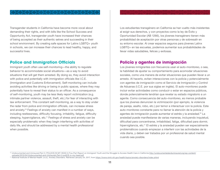<span id="page-10-0"></span>Transgender students in California have become more vocal about demanding their rights, and with bills like the School Success and Opportunity Act, transgender youth have increased their chances of being accepted as their authentic selves and succeeding in their school environment. By creating safe spaces for Latinx LGBTQ+ youth in schools, we can increase their chances to lead healthy, happy, and successful lives.

#### **Police and Immigration Officials**

Immigrant youth often use self-monitoring—the ability to regulate behavior to accommodate social situations—as a way to avoid situations that will get them arrested. By doing so, they avoid interaction with police and potentially with immigration officials like I.C.E. (Immigration and Customs Enforcement). Self-monitoring can include avoiding activities like driving or being in public spaces, where they may potentially have to reveal their status to an officer. As a consequence of self-monitoring, youth may be less likely report victimization (e.g. intimate partner violence, assault, theft, etc.) for fear of interacting with law enforcement. This constant self-monitoring, as a way to stay under the radar from police and immigration officials, can increase stress and anxiety.10 Feelings of anxiety can manifest in a number of ways, including restlessness, difficulty focusing, irritability, fatigue, difficulty sleeping, hypervigilance, etc.<sup>11</sup> Feelings of stress and anxiety can be especially problematic when they begin interfering with activities of daily life, and should be addressed by a mental health professional when possible.

Los estudiantes transgénero en California se han vuelto más insistentes al exigir sus derechos, y con proyectos como la ley de Éxito y Oportunidad Escolar (AB 1266), los jóvenes transgénero tienen más probabilidad de aceptación por otras personas y de sobresalir en su entorno escolar. Al crear espacios seguros para jóvenes Latinx LGBTQ+ en las escuelas, podemos aumentar sus probabilidades de llevar vidas saludables, felices y exitosas.

### **Policía y agentes de inmigración**

Los jóvenes inmigrantes con frecuencia usan el auto-monitoreo, o sea, la habilidad de ajustar su comportamiento para acomodar situaciones sociales, como una manera de evitar situaciones que pueden llevar a un arresto. Al hacerlo, evitan interacciones con la policía y potencialmente con agentes de inmigración como el Servicio de Inmigración y Control de Aduanas (I.C.E. por sus siglas en inglés). El auto-monitoreo puede incluir evitar actividades como conducir o estar en espacios públicos, donde potencialmente tendrían que revelar su estado migratorio a un agente. Como consecuencia del auto-monitoreo, es menos probable que los jóvenes denuncien la victimización (por ejemplo, la violencia de pareja, asalto, robo, etc.) por temor a interactuar con la policía. Este auto-monitoreo constante para no llamar la atención de la policía y agentes de inmigración puede aumentar el estrés y la ansiedad.10 La ansiedad puede manifestarse de varias maneras, incluyendo inquietud, dificultad para concentrarse, irritabilidad, fatiga, dificultad para dormir, hipervigilancia, etc.<sup>11</sup> El estrés y la ansiedad pueden ser especialmente problemáticos cuando empiezan a interferir con las actividades de la vida diaria, y deben ser tratados por un profesional de salud mental cuando sea posible.

<sup>&</sup>lt;sup>10</sup> Undocumented and Uninsured Part 3: POL[ICE] IN MY HEAD A Five-Part Report on Immigrant Youth and the Struggle to Access Health Care in California [http://undocumentedanduninsured.org/wp-content/](http://undocumentedanduninsured.org/wp-content/uploads/2015/04/Undocumented-and-Uninsured-Part-3-pol) [uploads/2015/04/Undocumented-and-Uninsured-Part-3-polICE-in-my-head.pdf](http://undocumentedanduninsured.org/wp-content/uploads/2015/04/Undocumented-and-Uninsured-Part-3-pol)<br>11 National Institute of Mental Health. (n.d.). Anxiety Disorders. Retrieved January 24, 2017, from <u>https://www.nimh.nih.gov/health/topics/anxiety-di</u>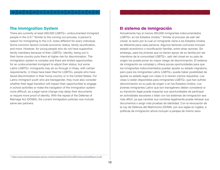#### <span id="page-11-0"></span>**The Immigration System**

There are currently at least 260,000 LGBTQ+ undocumented immigrant people in the U.S.12 Similar to the coming out process, a person's reason for immigrating to the U.S. looks different for every individual. Some common factors include economic status, family reunification, and more. However, for young people who do not have supportive family members because of their LGBTQ+ identity, being out in their home country puts them at higher risk for discrimination. The immigration system is complex and there are limited opportunities for an undocumented immigrant to adjust their status, but some Latinx LGBTQ+ immigrants may do so through U-Visas, with certain requirements. U-Visas have been filed for LGBTQ+ people who have faced discrimination in their home country or in the United States. For Latinx immigrant youth who are transgender, they must also consider whether their legal transition will impact their opportunities to engage in school activities or make the navigation of the immigration system more difficult, as a legal name change may delay their documents or require more proof of identity. With the repeal of the Defense of Marriage Act (DOMA), the current immigration policies now include same sex partners.

#### **El sistema de inmigración**

Actualmente hay al menos 260,000 inmigrantes indocumentados LGBTQ+ en los Estados Unidos.12 Similar al proceso de *salir del closet*, la razón por la cual un inmigrante viene a los Estados Unidos es diferente para cada persona. Algunos factores comunes incluyen estado económico o reunificación familiar, entre otras razones. Sin embargo, para los jóvenes que no tienen apoyo de su familia por ser miembros de la comunidad LGBTQ+, *salir del closet* en su país de origen los puede poner en mayor riesgo de discriminación. El sistema de inmigración es complejo y ofrece pocas oportunidades para que los inmigrantes indocumentados puedan ajustar su estado migratorio, pero para los inmigrantes Latinx LGBTQ+ puede haber posibilidad de ajustar su estado legal con visas-U si reúnen ciertos requisitos. Las visas-U están disponibles para inmigrantes LGBTQ+ que han sufrido discriminación en su país de origen o en los Estados Unidos. Los jóvenes inmigrantes Latinx que son transgénero deben considerar si su transición legal puede impactar sus oportunidades de participar en actividades escolares o lidiar con los sistemas de inmigración sea más difícil, ya que cambiar sus nombres legalmente puede retrasar sus documentos o exigir más pruebas de identidad. Con la revocación de la Ley de Defensa del Matrimonio (DOMA, por sus siglas en inglés), a políticas de inmigración ahora incluyen a parejas de mismo sexo.

<sup>12</sup> <https://www.americanprogress.org/wp-content/uploads/2013/03/LGBTUndocumentedReport-5.pdf>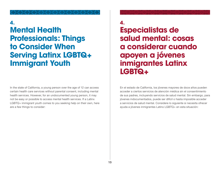## <span id="page-12-0"></span>**4. 4. Mental Health Professionals: Things to Consider When Serving Latinx LGBTQ+ Immigrant Youth**

In the state of California, a young person over the age of 12 can access certain health care services without parental consent, including mental health services. However, for an undocumented young person, it may not be easy or possible to access mental health services. If a Latinx LGBTQ+ immigrant youth comes to you seeking help on their own, here are a few things to consider:

**Especialistas de salud mental: cosas a considerar cuando apoyen a jóvenes inmigrantes Latinx LGBTQ+** 

En el estado de California, los jóvenes mayores de doce años pueden acceder a ciertos servicios de atención médica sin el consentimiento de sus padres, incluyendo servicios de salud mental. Sin embargo, para jóvenes indocumentados, puede ser difícil o hasta imposible acceder a servicios de salud mental. Considere lo siguiente si necesita ofrecer ayuda a jóvenes inmigrantes Latinx LGBTQ+ en esta situación: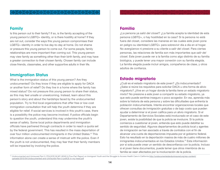#### <span id="page-13-0"></span>**Family**

Is this person out to their family? If so, is the family accepting of the young person's LGBTQ+ identity, or is there hostility at home? If they are not out, consider the ways this young person compromises their LGBTQ+ identity in order to live day-to-day at home. Do not shame or pressure this young person to come out. For some people, family relationships are more important than coming out. This young person may view family as something other than their birth family, and may have a greater connection to their chosen family. Chosen family can include close friends, classmates, and other supportive adults in their life.

#### **Immigration Status**

What is the immigration status of this young person? Are they undocumented? Do they know if they are eligible to apply for DACA or another form of relief? Do they live in a home where the family has mixed status? Do not pressure this young person to share their status, as this may feel unsafe or unwelcoming. Instead, learn about this person's story and about the hardships faced by the undocumented population. Try to find local organizations that offer free or low-cost immigration consultation that will help the youth determine if they are eligible for relief. If social services is involved in this youth's case, there is a possibility the police may become involved. If police officials begin to question the youth, understand this may undermine the youth's sense of safety. Some local police departments and immigration officials have partnered through contracts in order to reach a quota set by the federal government. This has resulted in the mass deportation of over four million undocumented immigrants in the United States.13 This information alone can create a sense of mistrust with the police. Even if the youth is not undocumented, they may fear that their family members will be impacted by involving the police.

¿La persona ya *salió del closet*? ¿La familia acepta la identidad de esta persona LGBTQ+, o hay hostilidad en la casa? Si la persona no está fuera del closet, considere las maneras en las cuales este joven pone en peligro su identidad LGBTQ+ para sobrevivir día a día en el hogar. No avergüence ni presione a su cliente a *salir del closet*. Para ciertas personas, las relaciones de familia son más importantes que *salir del closet*. Este joven puede ver a la familia como algo distinto de su familia biológica, y puede tener una mayor conexión con su familia elegida. La familia elegida puede incluir amigos, compañeros de clase, y otros adultos de confianza.

### **Estado migratorio**

¿Cuál es el estado migratorio de este joven? ¿Es indocumentado? ¿Sabe si reúne los requisitos para solicitar DACA u otra forma de alivio migratorio? ¿Vive en un hogar donde la familia tiene un estado migratorio mixto? No presione a este joven a compartir su estado migratorio, ya que esto puede sentirse inseguro o poco acogedor. En vez, aprenda más sobre la historia de esta persona y sobre las dificultades que enfrenta la población indocumentada. Intente encontrar organizaciones locales que ofrecen consultas de inmigración gratuitas o de bajo costo que pueden ayudar a determinar si el joven califica para un alivio migratorio. Si el Departamento de Servicios Sociales está involucrado en el caso de este joven, existe la posibilidad de que la policía se involucre. Si la policía comienza a cuestionar al joven, entienda que esto puede debilitar su sentido de seguridad. Algunos departamentos de policía local y agentes de inmigración se han asociado a través de contratos con el fin de alcanzar una cuota de deportaciones impuesta por el gobierno federal. Esto ha resultado en la deportación masiva de más de cuatro millones de inmigrantes indocumentados en los Estados Unidos.13 Esta información por sí sola puede crear un sentido de desconfianza con la policía. Incluso si el joven tiene documentos, puede temer que otros miembros de su familia se vean afectados por la involucración de la policía.

<sup>&</sup>lt;sup>13</sup> Undocumented and Uninsured Part 3: POL[ICE] IN MY HEAD A Five-Part Report on Immigrant Youth and the Struggle to Access Health Care in California [http://undocumentedanduninsured.org/wp-content/](http://undocumentedanduninsured.org/wp-content/uploads/2015/04/Undocumented-and-Uninsured-Part-3-pol) [uploads/2015/04/Undocumented-and-Uninsured-Part-3-polICE-in-my-head.pdf](http://undocumentedanduninsured.org/wp-content/uploads/2015/04/Undocumented-and-Uninsured-Part-3-pol)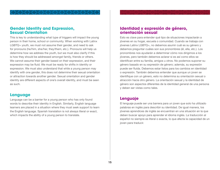#### <span id="page-14-0"></span>**Gender Identity and Expression, Sexual Orientation**

This is key to understanding what type of triggers will impact the young person in their home, school or community. When working with Latinx LGBTQ+ youth, we must not assume their gender, and need to ask for pronouns (he/him, she/her, they/them, etc.). Pronouns will help us determine how we address the youth, but we must also clarify if this is how they should be addressed amongst family, friends or others. We cannot assume their gender based on their expression, and their expression may be fluid. We must be ready for shifts in identity or expression. We must also understand that while a young person may identify with one gender, this does not determine their sexual orientation or attraction towards another gender. Sexual orientation and gender identity are different aspects of one's overall identity, and must be seen as such.

#### **Language**

Language can be a barrier for a young person who has only found words to describe their identity in English. Similarly, English language learners are placed in a situation where they must seek support to learn the English language. Spanish translation is not always literal or exact, which impacts the ability of a young person to translate.

#### **Identidad y expresión de género, orientación sexual**

Esto es clave para entender qué tipo de situaciones impactarán a jóvenes en su hogar, escuela o comunidad. Cuando se trabaja con jóvenes Latinx LGBTQ+, no debemos asumir cuál es su género y debemos preguntar cuáles son sus pronombres (él, ella, etc.). Los pronombres nos ayudarán a determinar cómo nos dirigimos a los jóvenes, pero también debemos aclarar si es así como ellos se identifican entre su familia, amigos u otros. No podemos suponer su género basado en su expresión de género; además, su expresión puede ser fluida. Debemos estar listos para los cambios en identidad o expresión. También debemos entender que aunque un joven se identifique con un género, esto no determina su orientación sexual o atracción hacia otro género. La orientación sexual y la identidad de género son aspectos diferentes de la identidad general de una persona y deben ser vistas como tales.

#### **Lenguaje**

El lenguaje puede ser una barrera para un joven que solo ha utilizado palabras en inglés para describir su identidad. De igual manera, los jóvenes aprendices de inglés se encuentran en una situación en la que deben buscar apoyo para aprender el idioma inglés. La traducción al español no siempre es literal o exacta, lo que afecta la capacidad de un joven para traducir.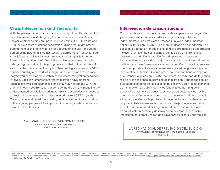#### <span id="page-15-0"></span>**Crisis Intervention and Suicidality**

With the partnership of local officials and immigration officials, and the recent increase of raids targeting the undocumented population, it is unclear whether holding an undocumented Latinx LGBTQ+ youth on a 515014 will put them at risk for deportation. Things that might prevent putting them or their family at risk for deportation include if the young person being held on a 5150 has DACA (Deferred Action for Childhood Arrivals) status, ability to adjust their status or can qualify for other forms of immigration relief. One of the challenges you might face is determining the status of this young person or that of their families. If as a provider, there is no other option than holding someone on a 5150, consider building a network of immigration service organizations and lawyers you can collaborate with in cases where immigration becomes involved. Local law enforcement and immigration have different jurisdictions over particular cases, and they may not engage with one another in every youth's case, but considering the climate impacting the undocumented population, working to take all possibilities into account is crucial when working with undocumented Latinx LGBTQ+ youth. Creating a network to address health, criminal and immigration status of these young people will be important in creating a safety net for your client and their families.

> NATIONAL SUICIDE PREVENTION LIFELINE [www.SuicidePreventionLifeline.org](http://www.SuicidePreventionLifeline.org)

#### **Intervención de crisis y suicidio**

Con la colaboración de funcionarios locales y agentes de inmigración, y el reciente aumento de las redadas dirigidas a la población indocumentada, no está claro si retener a un joven indocumentado Latinx LGBTQ+ con un 5150<sup>14</sup> lo pondrá en riesgo de deportación. Las cosas que podrían evitar que él o su familia corra riesgo de deportación incluyen si el joven que está siendo retenido bajo un 5150 tiene la capacidad estado DACA (Acción Diferida para los Llegados en la Infancia), tiene la capacidad de ajustar su estado migratorio o si puede calificar para otras formas de alivio de inmigración. Uno de los desafíos que usted podría enfrentar es determinar el estado migratorio de este joven o el de su familia. Si como proveedor usted no tiene otra opción que retener a alguien con un 5150, considere la posibilidad de forjar una red de organizaciones de servicios de inmigración y abogados con los que pueda colaborar en los casos en que se involucren los funcionarios de inmigración. La policía local y los funcionarios de inmigración tienen diferentes jurisdicciones sobre casos particulares y es posible que no interactúen entre sí con cada caso, pero teniendo en cuenta la situación que afecta a la población indocumentada, considerar todas las posibilidades es escencial cuando se trabaja con jóvenes Latinx LGBTQ+ indocumentados. Forjar una red para abordar el estado de salud, estado criminal y de inmigración de estos jóvenes será importante para crear una red de apoyo para su cliente y sus familias.

1-800-273-TALK (8255) LA RED NACIONAL DE PREVENCIÓN DEL SUICIDIO [www.SuicidePreventionLifeline.org/gethelp/Spanish](http://www.SuicidePreventionLifeline.org/gethelp/Spanish) 1-888-628-9454

<sup>&</sup>lt;sup>14</sup> Section 5150 is a section of the California Welfare and Institutions Code (WIC) which authorizes a qualified officer or clinician to involuntarily confine for a period of up to 72 hours a person suspected to have a me health disorder that makes them a danger to themselves, a danger to others, and/or gravely disabled for assessment, evaluation, or crisis intervention. [http://leginfo.legislature.ca.gov/faces/codes\\_displaySection.](http://leginfo.legislature.ca.gov/faces/codes_displaySection.xhtml?lawCode=WIC§ionNum=5150) [xhtml?lawCode=WIC&sectionNum=5150](http://leginfo.legislature.ca.gov/faces/codes_displaySection.xhtml?lawCode=WIC§ionNum=5150)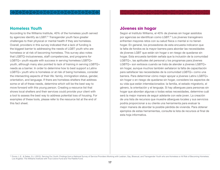#### <span id="page-16-0"></span>**Homeless Youth**

According to the Williams Institute, 40% of the homeless youth served by agencies identify as LGBT.<sup>15</sup> Transgender youth face greater challenges to their physical or mental health if they are homeless. Overall, providers in this survey indicated that a lack of funding is the biggest barrier to addressing the needs of LGBT youth who are homeless or at risk of becoming homeless. This survey also notes that LGBTQ-inclusiveness, staff competencies, and programs for LGBTQ+ youth equate with success in serving homeless LGBTQ+ youth, although many also pointed to lack of training in serving LGBTQ+ needs as a barrier. In order to determine how to best support a Latinx LGBTQ+ youth who is homeless or at risk of being homeless, consider the intersecting aspects of their life: family, immigration status, gender, orientation, and language. If there are homeless shelters that address some or all of these needs, determine which will be the best way to move forward with this young person. Creating a resource list that shows local shelters and their services could provide your client with a tool to assess the best way to address potential loss of housing. For examples of these tools, please refer to the resource list at the end of this fact sheet.

#### **Jóvenes sin hogar**

Según el Instituto Williams, el 40% de jóvenes sin hogar asistidos por agencias se identifican como LGBT.15 Los jóvenes transgénero enfrentan mayores retos con su salud física o mental si no tienen hogar. En general, los proveedores de esta encuesta indicaron que la falta de fondos es la mayor barrera para abordar las necesidades de jóvenes LGBT que están sin hogar o en riesgo de quedarse sin hogar. Esta encuesta también señala que la inclusión de la comunidad LGBTQ+, las aptitudes del personal y los programas para jóvenes LGBTQ+ son exitosos cuando se trata de atender a jóvenes LGBTQ+ sin hogar, aunque muchos también señalaron la falta de capacitación para satisfacer las necesidades de la comunidad LGBTQ+ como una barrera. Para determinar cómo mejor apoyar a jóvenes Latinx LGBTQ+ sin hogar o en riesgo de quedarse sin hogar, considere los aspectos de su vida que están interrelacionados: la familia, el estado migratorio, el género, la orientación y el lenguaje. Si hay albergues para personas sin hogar que abordan algunas o todas estas necesidades, determine cuál será la mejor manera de seguir adelante con este joven. La creación de una lista de recursos que muestre albergues locales y sus servicios podría proporcionar a su cliente una herramienta para evaluar la mejor manera de abordar la posible pérdida de vivienda. Para obtener ejemplos de estas herramientas, consulte la lista de recursos al final de esta hoja informativa.

<sup>&</sup>lt;sup>15</sup> Durso, L.E., & Gates, G.J. (2012). Serving Our Youth: Findings from a National Survey of Service Providers Working with Lesbian, Gay, Bisexual, and Transgender Youth who are Homeless or At Risk of Becoming Homeless. Los Angeles: The Williams Institute with True Colors Fund and The Palette Fund.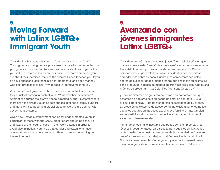## <span id="page-17-0"></span>**5. 5. Moving Forward with Latinx LGBTQ+ Immigrant Youth**

Consider in what ways this youth is "out" and wants to be "out." Coming out and being out are processes that need to be respected. If a young person chooses to disclose their various identities to you, allow yourself to do more research on their case. The more competent you are about their identities, the less the client will need to teach you. If you do have questions, ask them in a non-judgmental and open manner. One best practice is to ask: "What does (X identity) mean to you?"

What systems of government have they come in contact with, or are they at risk of coming in contact with? What was their experience? Attempt to address the client's needs. Creating support systems where there are none already, such as safe spaces at schools, family support, and more will also become a crucial piece to avoid future contact with government systems.

Given how unstable employment can be for undocumented youth, in particular for those without DACA, practitioners should be sensitive and aware of the need to "pass" in their work settings in order to avoid discrimination. Normalize that gender and sexual orientation presentation can include a range of different choices depending on the environment.

# **Avanzando con jóvenes inmigrantes Latinx LGBTQ+**

Considere en qué manera está este joven "fuera del closet" y en qué maneras quiere estar "fuera". *Salir del closet* y estar consistentemente fuera del closet son procesos que deben ser respetados. Si una persona joven elige revelarle sus diversas identidades, permítase aprender más sobre su caso. Cuanto más competente sea usted acerca de sus identidades, menos tendrá que enseñarle su cliente. Si tiene preguntas, hágalas de manera abierta y sin prejuicios. Una buena práctica es preguntar: "¿Qué significa (identidad X) para ti?"

¿Con qué sistemas de gobierno ha entrado en contacto o con qué sistemas de gobierno está en riesgo de estar en contacto? ¿Cuál fue su experiencia? Trate de atender las necesidades de su cliente. La creación de sistemas de apoyo donde no existe alguno, como los espacios seguros en las escuelas, el apoyo familiar y más, también se convertirá en algo esencial para evitar el contacto futuro con los sistemas gubernamentales.

Tomando en cuenta lo inestable que puede ser el empleo para los jóvenes indocumentados, en particular para aquellos sin DACA, los profesionales deben estar conscientes de la necesidad de "hacerse pasar" en su entorno de trabajo con el fin de evitar la discriminación. Normalizar esa presentación de género y orientación sexual puede incluir una gama de opciones diferentes dependiendo del entorno.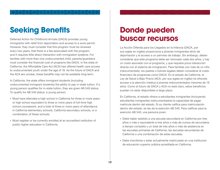## <span id="page-18-0"></span>**Seeking Benefits**

Deferred Action for Childhood Arrivals (DACA) provides young immigrants with relief from deportation and access to a work permit. However, they must consider that this program must be renewed every two years, that there is a fee associated with the program, and it requires little direct interaction with immigration systems. For families with more than one undocumented child, parents/guardians must consider the financial cost of programs like DACA. In the state of California, the Affordable Care Act (ACA) has offered health care access to undocumented youth under the age of 19. As the future of DACA and the ACA are unclear, these benefits may not be available long-term.

In California, the state offers immigrant students (including undocumented immigrant students) the ability to pay in-state tuition. If a young person qualifies for in-state tuition, they are given AB 540 status. To qualify for AB 540 status, a young person:

- Must have attended a high school in California for three or more years or high school equivalent to three or more years of full-time high school coursework, and a total of three or more years of attendance in California elementary schools, California secondary schools, or a combination of these schools.
- Must register or be currently enrolled at an accredited institution of public higher education in California.

## **Donde pueden buscar recursos**

La Acción Diferida para los Llegados en la Infancia (DACA, por sus siglas en inglés) proporciona a jóvenes inmigrantes alivio de deportación y el acceso a un permiso de trabajo. Sin embargo, deben considerar que este programa debe ser renovado cada dos años, y hay un costo asociado con el programa, y que requiere poca interacción directa con el sistema de inmigración. Para familias con más de un niño indocumentado, los padres o tutores legales deben considerar el costo financiero de programas como DACA. En el estado de California, la Ley de Salud a Bajo Precio (ACA, por sus siglas en inglés) ha ofrecido acceso a la atención médica a jóvenes indocumentados menores de 19 años. Como el futuro de DACA y ACA no está claro, estos beneficios pueden no estar disponibles a largo plazo.

En California, el estado ofrece a estudiantes inmigrantes (incluyendo estudiantes inmigrantes indocumentados) la capacidad de pagar matrícula dentro del estado. Si su cliente califica para matriculación dentro del estado, se les da la exención AB 540. Para calificar para la exención AB 540, una persona joven:

- Debe haber asistido a una escuela secundaria en California por tres años o más o equivalente a tres años o más de cursos de secundaria a tiempo completo y un total de tres años o más de asistencia en las escuelas primarias de California, las escuelas secundarias de California o una combinación de estas escuelas.
- Debe inscribirse o estar actualmente matriculado en una institución de educación superior pública acreditada en California.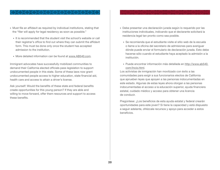- Must file an affidavit as required by individual institutions, stating that the "filer will apply for legal residency as soon as possible."
	- It is recommended that the student visit the school's website or call their registrar's office to find out where they can submit the affidavit form. This must be done only once the student has accepted admission to the institution.
	- More detailed information can be found at [www.AB540.com](http://www.ab540.com/).

Immigrant advocates have successfully mobilized communities to demand their California elected officials pass legislation to support undocumented people in this state. Some of these laws now grant undocumented people access to higher education, state financial aid, health care and access to attain a driver's license.

Ask yourself: Would the benefits of these state and federal benefits create opportunities for this young person? If they are able and willing to move forward, offer them resources and support to access these benefits.

- Debe presentar una declaración jurada según lo requerido por las instituciones individuales, indicando que el declarante solicitará la residencia legal tan pronto como sea posible.
	- Se recomienda que el estudiante visite el sitio web de la escuela o llame a la oficina del secretario de admisiones para averiguar dónde puede enviar el formulario de declaración jurada. Esto debe hacerse sólo cuando el estudiante haya aceptado la admisión a la institución.
	- Puede encontrar información más detallada en [http://www.ab540.](http://www.ab540.com/Incio.html) [com/Incio.html](http://www.ab540.com/Incio.html).

Los activistas de inmigración han movilizado con éxito a las comunidades para exigir a sus funcionarios electos de California que aprueben leyes que apoyen a las personas indocumentadas en este estado. Algunas de estas leyes ahora otorgan a las personas indocumentadas el acceso a la educación superior, ayuda financiera estatal, cuidado médico y acceso para obtener una licencia de conducir.

Pregúntese: ¿Los beneficios de esta ayuda estatal y federal crearán oportunidades para este joven? Si tiene la capacidad y está dispuesto a seguir adelante, ofrézcale recursos y apoyo para acceder a estos beneficios.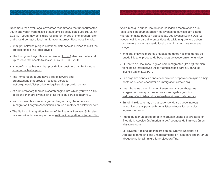Now more than ever, legal advocates recommend that undocumented youth and youth from mixed-status families seek legal support. Latinx LGBTQ+ youth may be eligible for different types of immigration relief and should contact a local immigration attorney. Resources include:

- [immigrationlawhelp.org](https://www.immigrationlawhelp.org/) is a national database as a place to start the process of seeking legal advice.
- The Immigrant Legal Resource Center ([ilrc.org\)](https://www.ilrc.org/) also has useful and up-to-date fact sheets to assist Latinx LGBTQ+ youth.
- Nonprofit organizations that provide low-cost help can be found at [immigrationlawhelp.org.](https://www.immigrationlawhelp.org/)
- The immigration courts have a list of lawyers and organizations that provide free legal services: [justice.gov/eoir/list-pro-bono-legal-service-providers-map.](https://www.justice.gov/eoir/list-pro-bono-legal-service-providers)
- At [adminrelief.org](https://www.adminrelief.org/) there is a search engine into which you type a zip code and then are given a list of all the legal services near you.
- You can search for an immigration lawyer using the American Immigration Lawyers Association's online directory at [ailalawyer.com](http://www.ailalawyer.com/).
- The National Immigration Project of the National Lawyers Guild also has an online find-a-lawyer tool at [nationalimmigrationproject.org/find](https://www.nationalimmigrationproject.org/find.html).

Ahora más que nunca, los defensores legales recomiendan que los jóvenes indocumentados y los jóvenes de familias con estado migratorio mixto busquen apoyo legal. Los jóvenes Latinx LGBTQ+ pueden calificar para diferentes tipos de alivio migratorio y deben comunicarse con un abogado local de inmigración. Los recursos incluyen:

- [immigrationlawhelp.org](https://www.immigrationlawhelp.org/) es una base de datos nacional donde se puede iniciar el proceso de búsqueda de asesoramiento jurídico.
- El Centro de Recursos Legales para Inmigrantes ([ilrc.org](https://www.ilrc.org/)) también tiene hojas informativas útiles y actualizadas para ayudar a los jóvenes Latinx LGBTQ+.
- Las organizaciones sin fines de lucro que proporcionan ayuda a bajo costo se pueden encontrar en [immigrationlawhelp.org.](https://www.immigrationlawhelp.org/)
- Los tribunales de inmigración tienen una lista de abogados y organizaciones que ofrecen servicios legales gratuitos: [justice.gov/eoir/list-pro-bono-legal-service-providers-map.](https://www.justice.gov/eoir/list-pro-bono-legal-service-providers)
- En [adminrelief.org](https://www.adminrelief.org/) hay un buscador donde se puede ingresar un código postal para recibir una lista de todos los servicios legales cercanos.
- Puede buscar un abogado de inmigración usando el directorio en línea de la Asociación Americana de Abogados de Inmigración en [ailalawyer.com](http://www.ailalawyer.com/).
- El Proyecto Nacional de Inmigración del Gremio Nacional de Abogados también tiene una herramienta en línea para encontrar un abogado [nationalimmigrationproject.org/find](https://www.nationalimmigrationproject.org/find.html).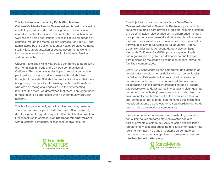This fact sheet was created by **Each Mind Matters: California's Mental Health Movement** and is part of statewide efforts to prevent suicide, reduce stigma and discrimination related to mental illness, and to promote the mental health and wellness of diverse populations. These initiatives are funded by counties through the Mental Health Services Act (Prop 63) and administered by the California Mental Health Services Authority (CalMHSA), an organization of county governments working to improve mental health outcomes for individuals, families and communities.

CalMHSA and Each Mind Matters are committed to addressing the mental health needs of the diverse communities of California. This material was developed through a community participatory process, working closely with stakeholders throughout the state. Stakeholder feedback indicates that there is a growing number of youth seeking mental health treatment who are also facing challenges around their intersecting identities; therefore, we determined that there is an urgent need for this topic to be addressed within our community provider network.

This is a living document, and will evolve over time; however, some current events, particularly status of DACA, are rapidly developing and this guide may not reflect the latest information. Please feel free to contact us at **info@[eachmindmatters.org](http://eachmindmatters.org)** with questions, comments, or feedback on this resource.



Esta hoja informativa ha sido creada por **SanaMente: Movimiento de Salud Mental de California** y es parte de los esfuerzos estatales para prevenir el suicidio, reducir el estigma y la discriminación relacionados con la enfermedad mental y para promover la salud mental y el bienestar de poblaciones diversas. Estas iniciativas son financiadas por los condados a través de la Ley de Servicios de Salud Mental (Prop 63) y administradas por la Autoridad de Servicios de Salud Mental de California (CalMHSA, por sus siglas en Inglés), una organización de gobiernos del condado que trabajan para mejorar los resultados de salud mental para individuos, familias y comunidades.

CalMHSA y SanaMente se han comprometido a atender las necesidades de salud mental de las diversas comunidades de California. Este material fue desarrollado a través de un proceso participativo de la comunidad, trabajando en colaboración con las partes interesadas en todo el estado. Las observaciones de las partes interesadas indican que hay un número creciente de jóvenes que buscan tratamiento de salud mental y que también enfrentan desafíos en torno a sus identidades; por lo tanto, determinamos que existe una necesidad urgente de que este tema sea abordado dentro de nuestra red de proveedores comunitarios.

Este es un documento en evolución constante y cambiará con el tiempo; sin embargo algunos eventos actuales, particularmente el estado de DACA se están desarrollando rápidamente y esta guía puede no reflejar la información más reciente. Por favor, no dude en ponerse en contacto con preguntas, comentarios u opiniones sobre este recurso en **info@[eachmindmatters.org](http://eachmindmatters.org)**.

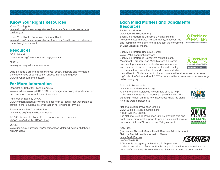

## **Know Your Rights Resources**

Know Your Rights [www.nilc.org/issues/immigration-enforcement/everyone-has-certain](https://www.nilc.org/issues/immigration-enforcement/everyone-has-certain-basic-rights/)[basic-rights](https://www.nilc.org/issues/immigration-enforcement/everyone-has-certain-basic-rights/)

Know Your Rights, Know Your Patients' Rights [www.nilc.org/issues/immigration-enforcement/healthcare-provider-and](https://www.nilc.org/issues/immigration-enforcement/healthcare-provider-and-patients-rights-imm-enf/)[patients-rights-imm-enf](https://www.nilc.org/issues/immigration-enforcement/healthcare-provider-and-patients-rights-imm-enf/)

### **Resources**

GSA Network [gsanetwork.org/resources/building-your-gsa](https://gsanetwork.org/resources/building-your-gsa)

**GLSEN** [www.glsen.org/educate/resources](https://www.glsen.org/educate/resources)

Julio Salgado's art and Yosimar Reyes' poetry illustrate and normalize the experiences of being Latinx, undocumented, and queer [www.myundocumentedlife.org](https://mydocumentedlife.org/) 

## **For More Information**

Deportation Relief for Hispanic Adults [www.pewhispanic.org/2013/12/19/on-immigration-policy-deportation-relief](http://www.pewhispanic.org/2013/12/19/on-immigration-policy-deportation-relief-seen-as-more-important-than-citizenship/)[seen-as-more-important-than-citizenship](http://www.pewhispanic.org/2013/12/19/on-immigration-policy-deportation-relief-seen-as-more-important-than-citizenship/)

Immigration Equality DACA [www.immigrationequality.org/get-legal-help/our-legal-resources/path-to](http://www.immigrationequality.org/get-legal-help/our-legal-resources/path-to-status-in-the-u-s/daca-deferred-action-for-childhood-arrivals/)[status-in-the-u-s/daca-deferred-action-for-childhood-arrivals](http://www.immigrationequality.org/get-legal-help/our-legal-resources/path-to-status-in-the-u-s/daca-deferred-action-for-childhood-arrivals/)

Educators for Fair Consideration [www.e4fc.org/images/Fact\\_Sheet.pdf](http://www.e4fc.org/images/Fact_Sheet.pdf)

AB 540- Access to Higher Ed for Undocumented Students [ab540.com/What\\_Is\\_AB540\\_.html](http://ab540.com/What_Is_AB540_.html)

USCIS [www.uscis.gov/humanitarian/consideration-deferred-action-childhood](https://www.uscis.gov/archive/consideration-deferred-action-childhood-arrivals-daca)[arrivals-daca](https://www.uscis.gov/archive/consideration-deferred-action-childhood-arrivals-daca)

#### **Each Mind Matters and SanaMente Resources**

Each Mind Matters [www.EachMindMatters.org](http://www.EachMindMatters.org)

Each Mind Matters is California's Mental Health Movement. Learn more, find community, discover true and inspiring stories of strength, and join the movement at EachMindMatters.org.



Each Mind Matters Resource Center [www.EMMResourceCenter.org](http://www.EMMResourceCenter.org)

Each Mind Matters is California's Mental Health Movement. Through Each Mind Matters, California has developed a multitude of initiatives, resources and materials to improve mental health and equality in communities, prevent suicide and promote student



mental health. Find materials for Latino communities at emmresourcecenter. org/collection/latino and for LGBTQ+ communities at emmresourcecenter.org/ collection/lgbtq.

Suicide is Preventable

[www.SuicideIsPreventable.org](http://www.suicideispreventable.org/)

Know the Signs: Suicide is Preventable aims to help Californians recognize the warning signs of suicide. The campaign is built on three key messages: Know the signs. Find the words. Reach out.



National Suicide Prevention Lifeline [www.SuicidePreventionLifeline.org](https://suicidepreventionlifeline.org/) 1-800-273-TALK (8255) The National Suicide Prevention Lifeline provides free and confidential emotional support to people in suicidal crisis or

emotional distress 24 hours a day, 7 days a week.



**SAMHSA** 

(Substance Abuse & Mental Health Services Administration) National Mental Health Information Center

[www.SAMHSA.gov](http://www.SAMHSA.gov) 1-800-789-2647

SAMHSA is the agency within the U.S. Department

of Health and Human Services that leads public health efforts to reduce the impact of substance abuse and mental illness on America's communities.